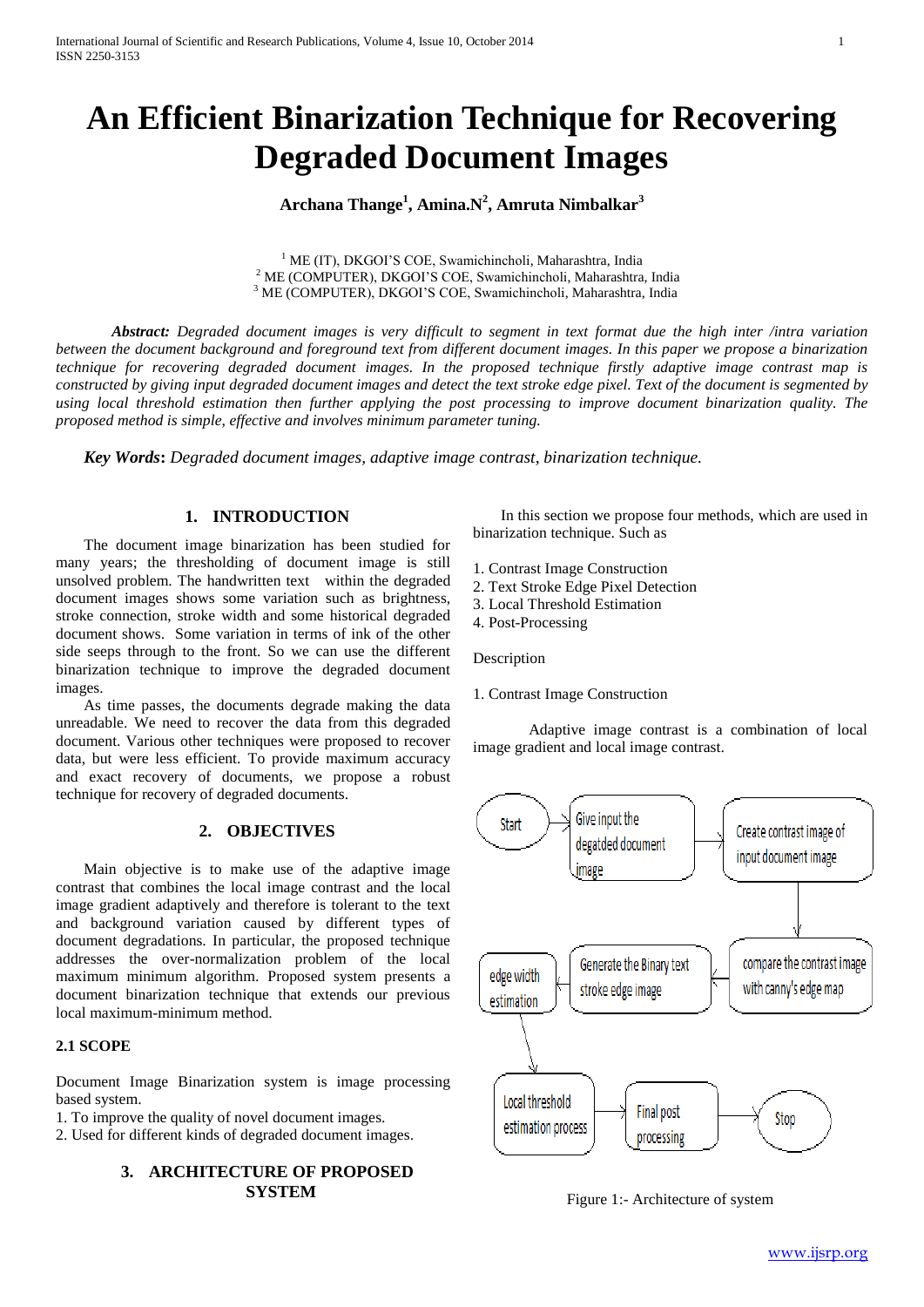# **An Efficient Binarization Technique for Recovering Degraded Document Images**

**Archana Thange<sup>1</sup> , Amina.N<sup>2</sup> , Amruta Nimbalkar<sup>3</sup>**

<sup>1</sup> ME (IT), DKGOI'S COE, Swamichincholi, Maharashtra, India <sup>2</sup> ME (COMPUTER), DKGOI'S COE, Swamichincholi, Maharashtra, India <sup>3</sup> ME (COMPUTER), DKGOI'S COE, Swamichincholi, Maharashtra, India

*Abstract: Degraded document images is very difficult to segment in text format due the high inter /intra variation between the document background and foreground text from different document images. In this paper we propose a binarization technique for recovering degraded document images. In the proposed technique firstly adaptive image contrast map is constructed by giving input degraded document images and detect the text stroke edge pixel. Text of the document is segmented by using local threshold estimation then further applying the post processing to improve document binarization quality. The proposed method is simple, effective and involves minimum parameter tuning.*

*Key Words***:** *Degraded document images, adaptive image contrast, binarization technique.*

## **1. INTRODUCTION**

The document image binarization has been studied for many years; the thresholding of document image is still unsolved problem. The handwritten text within the degraded document images shows some variation such as brightness, stroke connection, stroke width and some historical degraded document shows. Some variation in terms of ink of the other side seeps through to the front. So we can use the different binarization technique to improve the degraded document images.

As time passes, the documents degrade making the data unreadable. We need to recover the data from this degraded document. Various other techniques were proposed to recover data, but were less efficient. To provide maximum accuracy and exact recovery of documents, we propose a robust technique for recovery of degraded documents.

## **2. OBJECTIVES**

Main objective is to make use of the adaptive image contrast that combines the local image contrast and the local image gradient adaptively and therefore is tolerant to the text and background variation caused by different types of document degradations. In particular, the proposed technique addresses the over-normalization problem of the local maximum minimum algorithm. Proposed system presents a document binarization technique that extends our previous local maximum-minimum method.

#### **2.1 SCOPE**

Document Image Binarization system is image processing based system.

1. To improve the quality of novel document images.

2. Used for different kinds of degraded document images.

# **3. ARCHITECTURE OF PROPOSED SYSTEM**

In this section we propose four methods, which are used in binarization technique. Such as

- 1. Contrast Image Construction
- 2. Text Stroke Edge Pixel Detection
- 3. Local Threshold Estimation
- 4. Post-Processing

Description

1. Contrast Image Construction

Adaptive image contrast is a combination of local image gradient and local image contrast.



Figure 1:- Architecture of system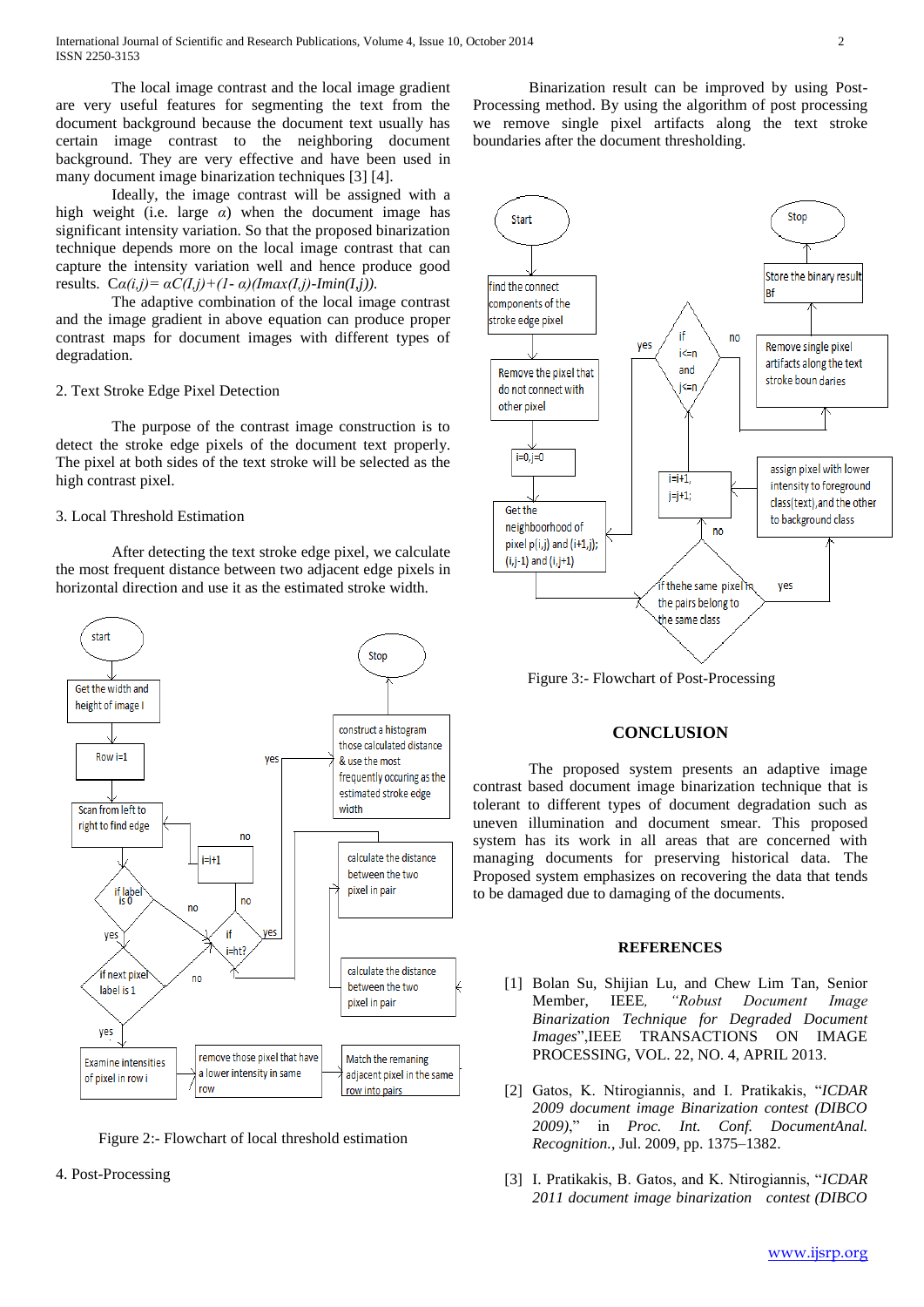The local image contrast and the local image gradient are very useful features for segmenting the text from the document background because the document text usually has certain image contrast to the neighboring document background. They are very effective and have been used in many document image binarization techniques [3] [4].

Ideally, the image contrast will be assigned with a high weight (i.e. large  $\alpha$ ) when the document image has significant intensity variation. So that the proposed binarization technique depends more on the local image contrast that can capture the intensity variation well and hence produce good results.  $C\alpha(i,j) = \alpha C(I,i) + (1-\alpha)(Im\alpha x(I,i) - Im\alpha I,i)$ .

The adaptive combination of the local image contrast and the image gradient in above equation can produce proper contrast maps for document images with different types of degradation.

#### 2. Text Stroke Edge Pixel Detection

The purpose of the contrast image construction is to detect the stroke edge pixels of the document text properly. The pixel at both sides of the text stroke will be selected as the high contrast pixel.

### 3. Local Threshold Estimation

After detecting the text stroke edge pixel, we calculate the most frequent distance between two adjacent edge pixels in horizontal direction and use it as the estimated stroke width.





#### 4. Post-Processing

Binarization result can be improved by using Post-Processing method. By using the algorithm of post processing we remove single pixel artifacts along the text stroke boundaries after the document thresholding.



Figure 3:- Flowchart of Post-Processing

## **CONCLUSION**

The proposed system presents an adaptive image contrast based document image binarization technique that is tolerant to different types of document degradation such as uneven illumination and document smear. This proposed system has its work in all areas that are concerned with managing documents for preserving historical data. The Proposed system emphasizes on recovering the data that tends to be damaged due to damaging of the documents.

#### **REFERENCES**

- [1] Bolan Su, Shijian Lu, and Chew Lim Tan, Senior Member, IEEE*, "Robust Document Image Binarization Technique for Degraded Document Images*",IEEE TRANSACTIONS ON IMAGE PROCESSING, VOL. 22, NO. 4, APRIL 2013.
- [2] Gatos, K. Ntirogiannis, and I. Pratikakis, "*ICDAR 2009 document image Binarization contest (DIBCO 2009)*," in *Proc. Int. Conf. DocumentAnal. Recognition.*, Jul. 2009, pp. 1375–1382.
- [3] I. Pratikakis, B. Gatos, and K. Ntirogiannis, "*ICDAR 2011 document image binarization contest (DIBCO*